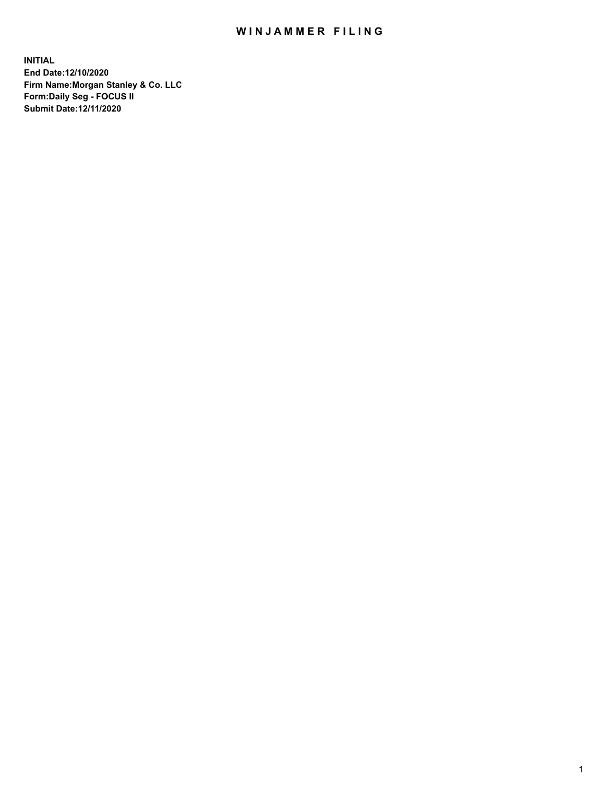## WIN JAMMER FILING

**INITIAL End Date:12/10/2020 Firm Name:Morgan Stanley & Co. LLC Form:Daily Seg - FOCUS II Submit Date:12/11/2020**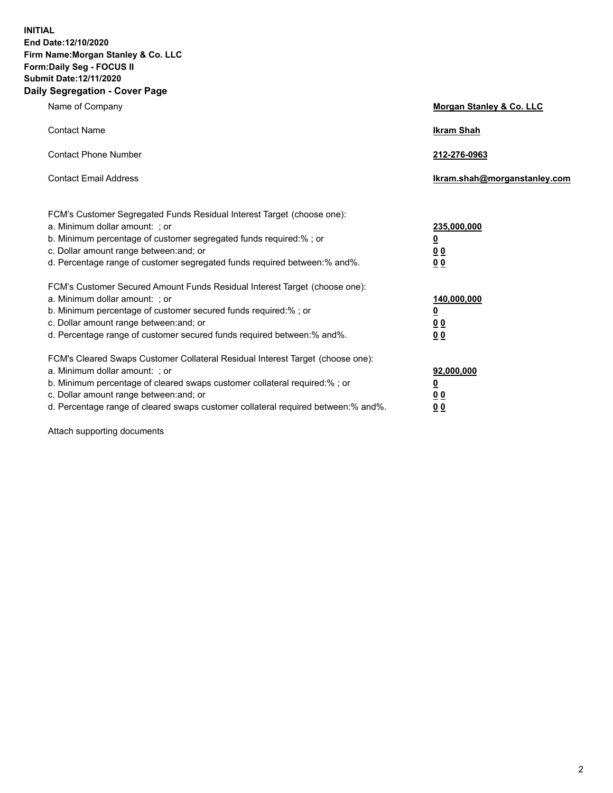**INITIAL End Date:12/10/2020 Firm Name:Morgan Stanley & Co. LLC Form:Daily Seg - FOCUS II Submit Date:12/11/2020 Daily Segregation - Cover Page**

| Name of Company                                                                                                                                                                                                                                                                                                                | Morgan Stanley & Co. LLC                                |
|--------------------------------------------------------------------------------------------------------------------------------------------------------------------------------------------------------------------------------------------------------------------------------------------------------------------------------|---------------------------------------------------------|
| <b>Contact Name</b>                                                                                                                                                                                                                                                                                                            | <b>Ikram Shah</b>                                       |
| <b>Contact Phone Number</b>                                                                                                                                                                                                                                                                                                    | 212-276-0963                                            |
| <b>Contact Email Address</b>                                                                                                                                                                                                                                                                                                   | Ikram.shah@morganstanley.com                            |
| FCM's Customer Segregated Funds Residual Interest Target (choose one):<br>a. Minimum dollar amount: ; or<br>b. Minimum percentage of customer segregated funds required:% ; or<br>c. Dollar amount range between: and; or<br>d. Percentage range of customer segregated funds required between:% and%.                         | 235,000,000<br><u>0</u><br><u>00</u><br><u>00</u>       |
| FCM's Customer Secured Amount Funds Residual Interest Target (choose one):<br>a. Minimum dollar amount: ; or<br>b. Minimum percentage of customer secured funds required:%; or<br>c. Dollar amount range between: and; or<br>d. Percentage range of customer secured funds required between:% and%.                            | 140,000,000<br><u>0</u><br><u>0 0</u><br>0 <sub>0</sub> |
| FCM's Cleared Swaps Customer Collateral Residual Interest Target (choose one):<br>a. Minimum dollar amount: ; or<br>b. Minimum percentage of cleared swaps customer collateral required:% ; or<br>c. Dollar amount range between: and; or<br>d. Percentage range of cleared swaps customer collateral required between:% and%. | 92,000,000<br><u>0</u><br><u>00</u><br>00               |

Attach supporting documents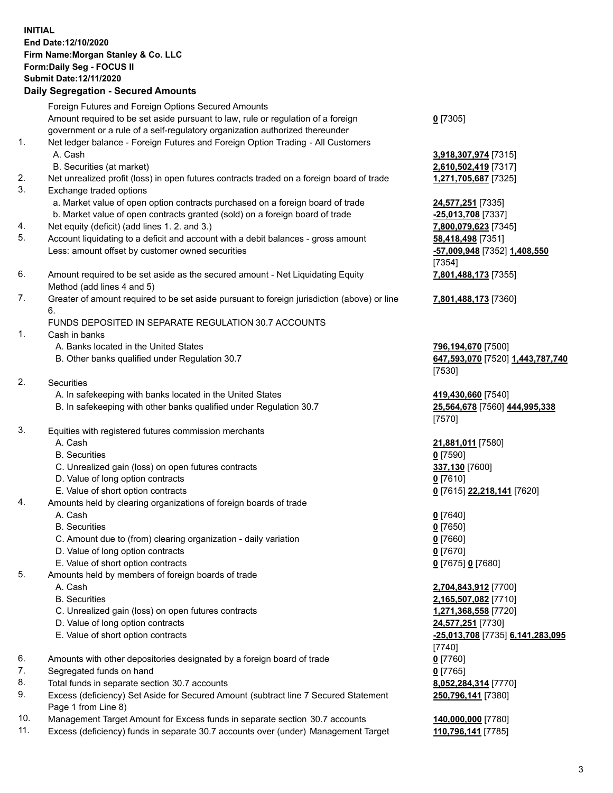## **INITIAL End Date:12/10/2020 Firm Name:Morgan Stanley & Co. LLC Form:Daily Seg - FOCUS II Submit Date:12/11/2020 Daily Segregation - Secured Amounts**

Foreign Futures and Foreign Options Secured Amounts Amount required to be set aside pursuant to law, rule or regulation of a foreign government or a rule of a self-regulatory organization authorized thereunder 1. Net ledger balance - Foreign Futures and Foreign Option Trading - All Customers A. Cash **3,918,307,974** [7315]

- B. Securities (at market) **2,610,502,419** [7317]
- 2. Net unrealized profit (loss) in open futures contracts traded on a foreign board of trade **1,271,705,687** [7325]
- 3. Exchange traded options
	- a. Market value of open option contracts purchased on a foreign board of trade **24,577,251** [7335]
	- b. Market value of open contracts granted (sold) on a foreign board of trade **-25,013,708** [7337]
- 4. Net equity (deficit) (add lines 1. 2. and 3.) **7,800,079,623** [7345]
- 5. Account liquidating to a deficit and account with a debit balances gross amount **58,418,498** [7351] Less: amount offset by customer owned securities **-57,009,948** [7352] **1,408,550**
- 6. Amount required to be set aside as the secured amount Net Liquidating Equity Method (add lines 4 and 5)
- 7. Greater of amount required to be set aside pursuant to foreign jurisdiction (above) or line 6.

## FUNDS DEPOSITED IN SEPARATE REGULATION 30.7 ACCOUNTS

- 1. Cash in banks
	- A. Banks located in the United States **796,194,670** [7500]
	- B. Other banks qualified under Regulation 30.7 **647,593,070** [7520] **1,443,787,740**
- 2. Securities
	- A. In safekeeping with banks located in the United States **419,430,660** [7540]
	- B. In safekeeping with other banks qualified under Regulation 30.7 **25,564,678** [7560] **444,995,338**
- 3. Equities with registered futures commission merchants
	-
	- B. Securities **0** [7590]
	- C. Unrealized gain (loss) on open futures contracts **337,130** [7600]
	- D. Value of long option contracts **0** [7610]
	- E. Value of short option contracts **0** [7615] **22,218,141** [7620]
- 4. Amounts held by clearing organizations of foreign boards of trade
	- A. Cash **0** [7640]
	- B. Securities **0** [7650]
	- C. Amount due to (from) clearing organization daily variation **0** [7660]
	- D. Value of long option contracts **0** [7670]
	- E. Value of short option contracts **0** [7675] **0** [7680]
- 5. Amounts held by members of foreign boards of trade
	-
	-
	- C. Unrealized gain (loss) on open futures contracts **1,271,368,558** [7720]
	- D. Value of long option contracts **24,577,251** [7730]
	- E. Value of short option contracts **-25,013,708** [7735] **6,141,283,095**
- 6. Amounts with other depositories designated by a foreign board of trade **0** [7760]
- 7. Segregated funds on hand **0** [7765]
- 8. Total funds in separate section 30.7 accounts **8,052,284,314** [7770]
- 9. Excess (deficiency) Set Aside for Secured Amount (subtract line 7 Secured Statement Page 1 from Line 8)
- 10. Management Target Amount for Excess funds in separate section 30.7 accounts **140,000,000** [7780]
- 11. Excess (deficiency) funds in separate 30.7 accounts over (under) Management Target **110,796,141** [7785]

**0** [7305]

[7354] **7,801,488,173** [7355]

**7,801,488,173** [7360]

[7530]

[7570]

A. Cash **21,881,011** [7580]

 A. Cash **2,704,843,912** [7700] B. Securities **2,165,507,082** [7710] [7740] **250,796,141** [7380]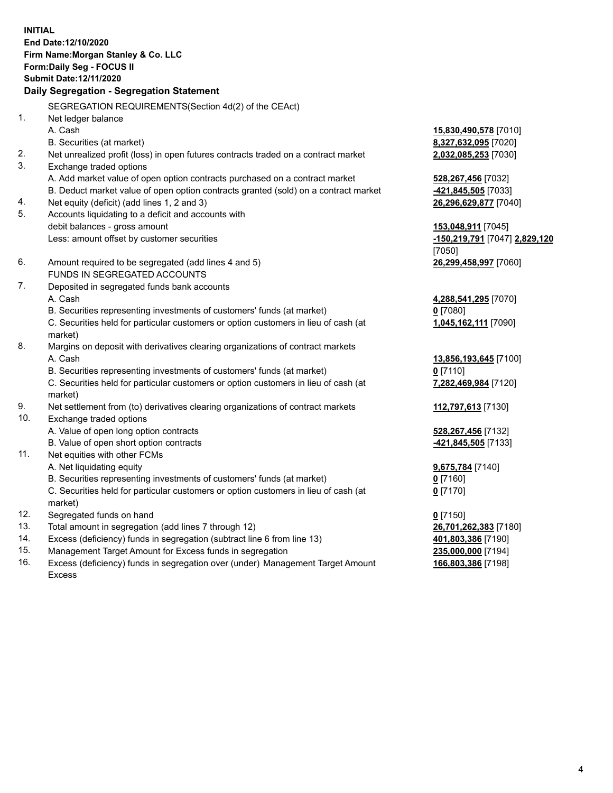**INITIAL End Date:12/10/2020 Firm Name:Morgan Stanley & Co. LLC Form:Daily Seg - FOCUS II Submit Date:12/11/2020 Daily Segregation - Segregation Statement** SEGREGATION REQUIREMENTS(Section 4d(2) of the CEAct) 1. Net ledger balance A. Cash **15,830,490,578** [7010] B. Securities (at market) **8,327,632,095** [7020] 2. Net unrealized profit (loss) in open futures contracts traded on a contract market **2,032,085,253** [7030] 3. Exchange traded options A. Add market value of open option contracts purchased on a contract market **528,267,456** [7032] B. Deduct market value of open option contracts granted (sold) on a contract market **-421,845,505** [7033] 4. Net equity (deficit) (add lines 1, 2 and 3) **26,296,629,877** [7040] 5. Accounts liquidating to a deficit and accounts with debit balances - gross amount **153,048,911** [7045] Less: amount offset by customer securities **-150,219,791** [7047] **2,829,120** [7050] 6. Amount required to be segregated (add lines 4 and 5) **26,299,458,997** [7060] FUNDS IN SEGREGATED ACCOUNTS 7. Deposited in segregated funds bank accounts A. Cash **4,288,541,295** [7070] B. Securities representing investments of customers' funds (at market) **0** [7080] C. Securities held for particular customers or option customers in lieu of cash (at market) **1,045,162,111** [7090] 8. Margins on deposit with derivatives clearing organizations of contract markets A. Cash **13,856,193,645** [7100] B. Securities representing investments of customers' funds (at market) **0** [7110] C. Securities held for particular customers or option customers in lieu of cash (at market) **7,282,469,984** [7120] 9. Net settlement from (to) derivatives clearing organizations of contract markets **112,797,613** [7130] 10. Exchange traded options A. Value of open long option contracts **528,267,456** [7132] B. Value of open short option contracts **-421,845,505** [7133] 11. Net equities with other FCMs A. Net liquidating equity **9,675,784** [7140] B. Securities representing investments of customers' funds (at market) **0** [7160] C. Securities held for particular customers or option customers in lieu of cash (at market) **0** [7170] 12. Segregated funds on hand **0** [7150] 13. Total amount in segregation (add lines 7 through 12) **26,701,262,383** [7180] 14. Excess (deficiency) funds in segregation (subtract line 6 from line 13) **401,803,386** [7190] 15. Management Target Amount for Excess funds in segregation **235,000,000** [7194]

16. Excess (deficiency) funds in segregation over (under) Management Target Amount Excess

**166,803,386** [7198]